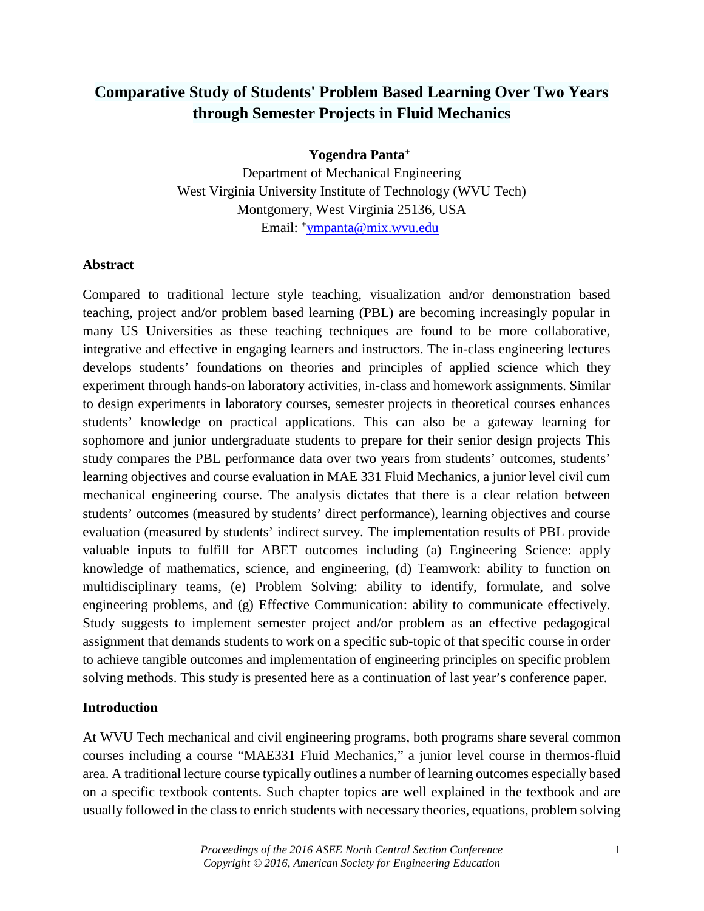# **Comparative Study of Students' Problem Based Learning Over Two Years through Semester Projects in Fluid Mechanics**

**Yogendra Panta+**

Department of Mechanical Engineering West Virginia University Institute of Technology (WVU Tech) Montgomery, West Virginia 25136, USA Email: [+ympanta@mix.wvu.edu](mailto:ympanta@mix.wvu.edu)

#### **Abstract**

Compared to traditional lecture style teaching, visualization and/or demonstration based teaching, project and/or problem based learning (PBL) are becoming increasingly popular in many US Universities as these teaching techniques are found to be more collaborative, integrative and effective in engaging learners and instructors. The in-class engineering lectures develops students' foundations on theories and principles of applied science which they experiment through hands-on laboratory activities, in-class and homework assignments. Similar to design experiments in laboratory courses, semester projects in theoretical courses enhances students' knowledge on practical applications. This can also be a gateway learning for sophomore and junior undergraduate students to prepare for their senior design projects This study compares the PBL performance data over two years from students' outcomes, students' learning objectives and course evaluation in MAE 331 Fluid Mechanics, a junior level civil cum mechanical engineering course. The analysis dictates that there is a clear relation between students' outcomes (measured by students' direct performance), learning objectives and course evaluation (measured by students' indirect survey. The implementation results of PBL provide valuable inputs to fulfill for ABET outcomes including (a) Engineering Science: apply knowledge of mathematics, science, and engineering, (d) Teamwork: ability to function on multidisciplinary teams, (e) Problem Solving: ability to identify, formulate, and solve engineering problems, and (g) Effective Communication: ability to communicate effectively. Study suggests to implement semester project and/or problem as an effective pedagogical assignment that demands students to work on a specific sub-topic of that specific course in order to achieve tangible outcomes and implementation of engineering principles on specific problem solving methods. This study is presented here as a continuation of last year's conference paper.

#### **Introduction**

At WVU Tech mechanical and civil engineering programs, both programs share several common courses including a course "MAE331 Fluid Mechanics," a junior level course in thermos-fluid area. A traditional lecture course typically outlines a number of learning outcomes especially based on a specific textbook contents. Such chapter topics are well explained in the textbook and are usually followed in the class to enrich students with necessary theories, equations, problem solving

> *Proceedings of the 2016 ASEE North Central Section Conference* 1 *Copyright © 2016, American Society for Engineering Education*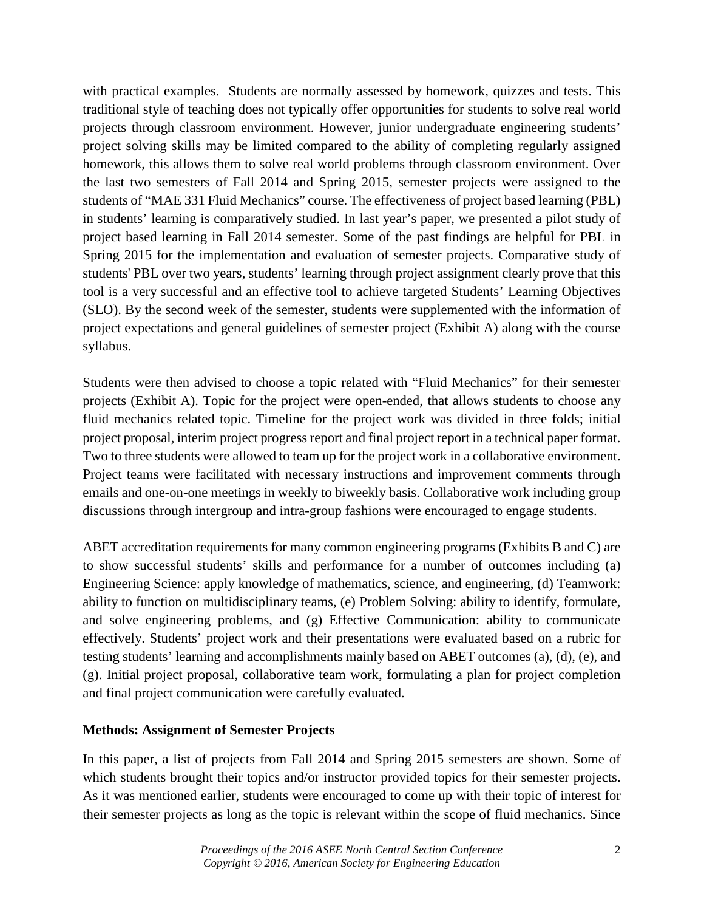with practical examples. Students are normally assessed by homework, quizzes and tests. This traditional style of teaching does not typically offer opportunities for students to solve real world projects through classroom environment. However, junior undergraduate engineering students' project solving skills may be limited compared to the ability of completing regularly assigned homework, this allows them to solve real world problems through classroom environment. Over the last two semesters of Fall 2014 and Spring 2015, semester projects were assigned to the students of "MAE 331 Fluid Mechanics" course. The effectiveness of project based learning (PBL) in students' learning is comparatively studied. In last year's paper, we presented a pilot study of project based learning in Fall 2014 semester. Some of the past findings are helpful for PBL in Spring 2015 for the implementation and evaluation of semester projects. Comparative study of students' PBL over two years, students' learning through project assignment clearly prove that this tool is a very successful and an effective tool to achieve targeted Students' Learning Objectives (SLO). By the second week of the semester, students were supplemented with the information of project expectations and general guidelines of semester project (Exhibit A) along with the course syllabus.

Students were then advised to choose a topic related with "Fluid Mechanics" for their semester projects (Exhibit A). Topic for the project were open-ended, that allows students to choose any fluid mechanics related topic. Timeline for the project work was divided in three folds; initial project proposal, interim project progress report and final project report in a technical paper format. Two to three students were allowed to team up for the project work in a collaborative environment. Project teams were facilitated with necessary instructions and improvement comments through emails and one-on-one meetings in weekly to biweekly basis. Collaborative work including group discussions through intergroup and intra-group fashions were encouraged to engage students.

ABET accreditation requirements for many common engineering programs (Exhibits B and C) are to show successful students' skills and performance for a number of outcomes including (a) Engineering Science: apply knowledge of mathematics, science, and engineering, (d) Teamwork: ability to function on multidisciplinary teams, (e) Problem Solving: ability to identify, formulate, and solve engineering problems, and (g) Effective Communication: ability to communicate effectively. Students' project work and their presentations were evaluated based on a rubric for testing students' learning and accomplishments mainly based on ABET outcomes (a), (d), (e), and (g). Initial project proposal, collaborative team work, formulating a plan for project completion and final project communication were carefully evaluated.

# **Methods: Assignment of Semester Projects**

In this paper, a list of projects from Fall 2014 and Spring 2015 semesters are shown. Some of which students brought their topics and/or instructor provided topics for their semester projects. As it was mentioned earlier, students were encouraged to come up with their topic of interest for their semester projects as long as the topic is relevant within the scope of fluid mechanics. Since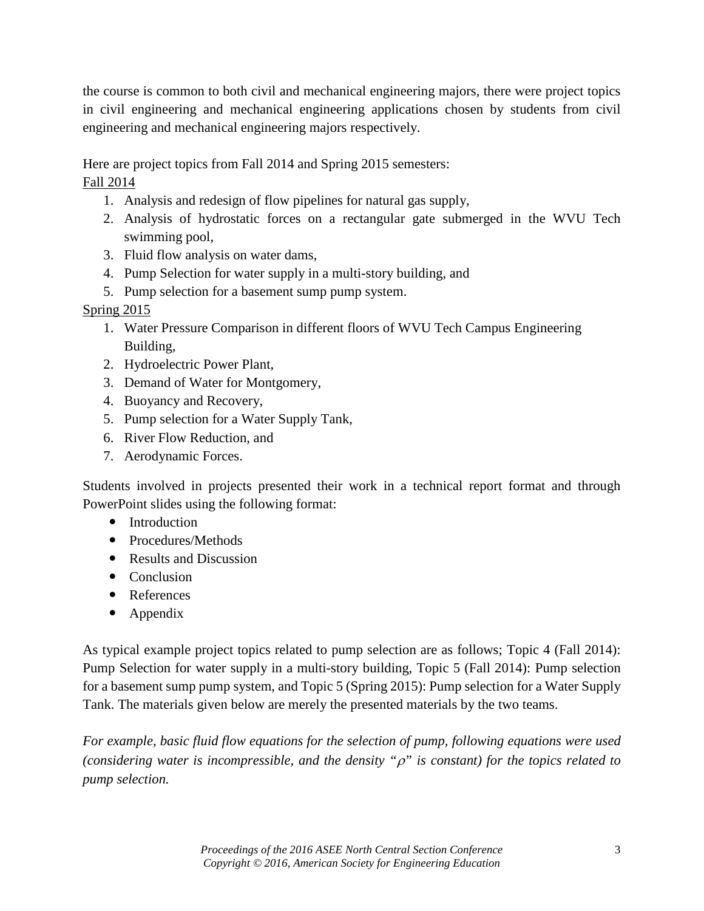the course is common to both civil and mechanical engineering majors, there were project topics in civil engineering and mechanical engineering applications chosen by students from civil engineering and mechanical engineering majors respectively.

Here are project topics from Fall 2014 and Spring 2015 semesters:

Fall 2014

- 1. Analysis and redesign of flow pipelines for natural gas supply,
- 2. Analysis of hydrostatic forces on a rectangular gate submerged in the WVU Tech swimming pool,
- 3. Fluid flow analysis on water dams,
- 4. Pump Selection for water supply in a multi-story building, and
- 5. Pump selection for a basement sump pump system.

# Spring 2015

- 1. Water Pressure Comparison in different floors of WVU Tech Campus Engineering Building,
- 2. Hydroelectric Power Plant,
- 3. Demand of Water for Montgomery,
- 4. Buoyancy and Recovery,
- 5. Pump selection for a Water Supply Tank,
- 6. River Flow Reduction, and
- 7. Aerodynamic Forces.

Students involved in projects presented their work in a technical report format and through PowerPoint slides using the following format:

- Introduction
- Procedures/Methods
- Results and Discussion
- Conclusion
- References
- Appendix

As typical example project topics related to pump selection are as follows; Topic 4 (Fall 2014): Pump Selection for water supply in a multi-story building, Topic 5 (Fall 2014): Pump selection for a basement sump pump system, and Topic 5 (Spring 2015): Pump selection for a Water Supply Tank. The materials given below are merely the presented materials by the two teams.

*For example, basic fluid flow equations for the selection of pump, following equations were used (considering water is incompressible, and the density "*ρ*" is constant) for the topics related to pump selection.*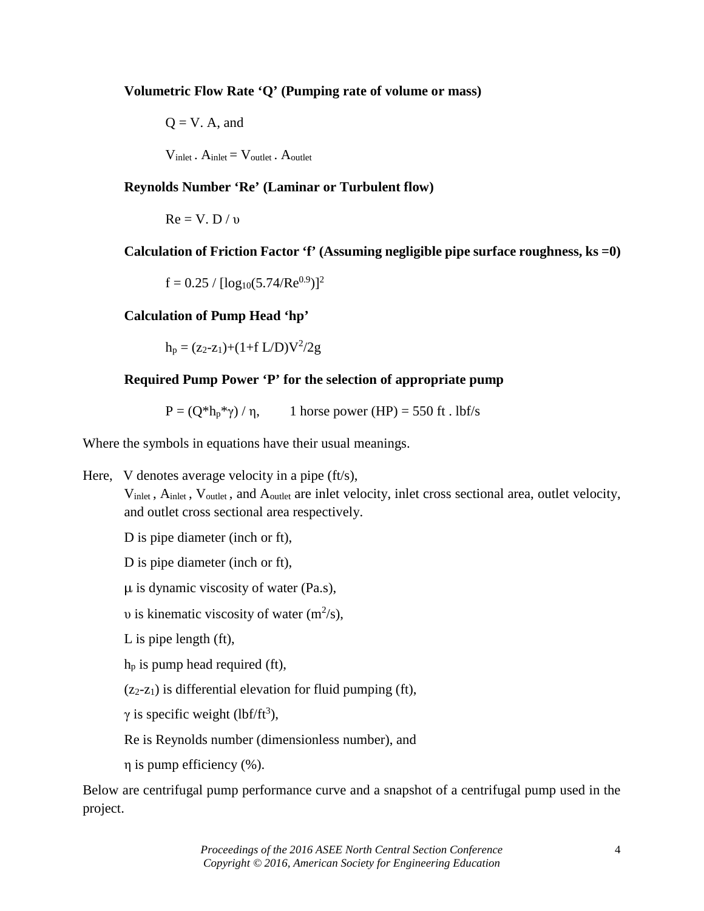**Volumetric Flow Rate 'Q' (Pumping rate of volume or mass)**

$$
Q = V. A, and
$$
  

$$
V_{\text{inlet}}. A_{\text{inlet}} = V_{\text{outlet}}. A_{\text{outlet}}
$$

**Reynolds Number 'Re' (Laminar or Turbulent flow)**

$$
Re = V. D / \upsilon
$$

**Calculation of Friction Factor 'f' (Assuming negligible pipe surface roughness, ks =0)**

 $f = 0.25 / [log_{10}(5.74/Re^{0.9})]^2$ 

### **Calculation of Pump Head 'hp'**

 $h_p = (z_2-z_1)+(1+f L/D)V^2/2g$ 

# **Required Pump Power 'P' for the selection of appropriate pump**

 $P = (Q^*h_p^*\gamma)/\eta$ , 1 horse power (HP) = 550 ft . lbf/s

Where the symbols in equations have their usual meanings.

Here, V denotes average velocity in a pipe (ft/s),

 $V_{\text{inlet}}$ ,  $A_{\text{inlet}}$ ,  $V_{\text{outlet}}$ , and  $A_{\text{outlet}}$  are inlet velocity, inlet cross sectional area, outlet velocity, and outlet cross sectional area respectively.

D is pipe diameter (inch or ft),

D is pipe diameter (inch or ft),

 $\mu$  is dynamic viscosity of water (Pa.s),

*v* is kinematic viscosity of water  $(m^2/s)$ ,

L is pipe length (ft),

 $h_p$  is pump head required (ft),

 $(z_2-z_1)$  is differential elevation for fluid pumping (ft),

 $\gamma$  is specific weight (lbf/ft<sup>3</sup>),

Re is Reynolds number (dimensionless number), and

η is pump efficiency (%).

Below are centrifugal pump performance curve and a snapshot of a centrifugal pump used in the project.

> *Proceedings of the 2016 ASEE North Central Section Conference* 4 *Copyright © 2016, American Society for Engineering Education*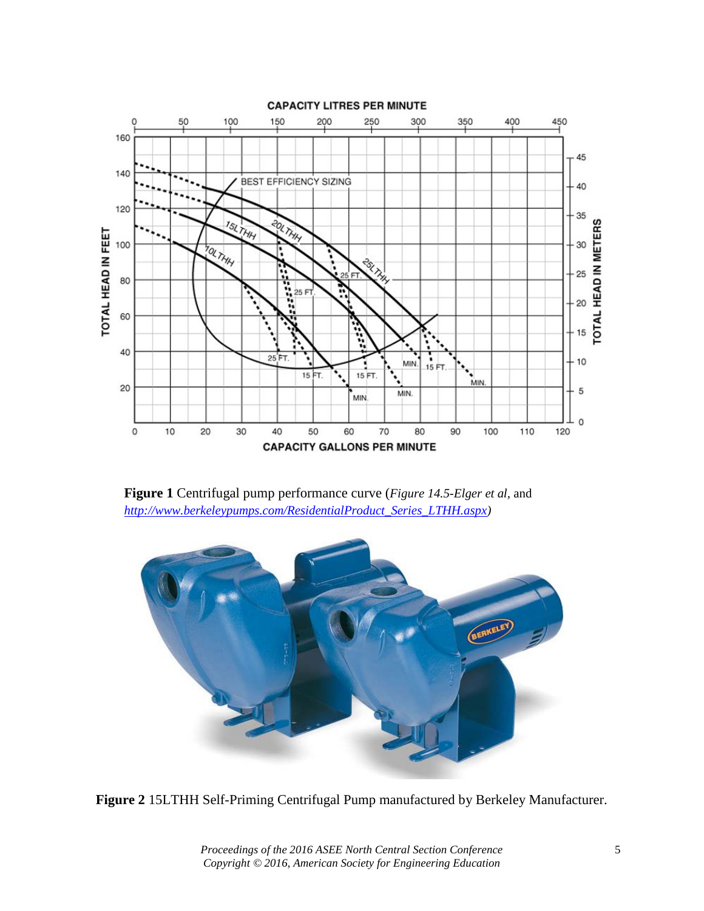

**Figure 1** Centrifugal pump performance curve (*Figure 14.5-Elger et al,* and *[http://www.berkeleypumps.com/ResidentialProduct\\_Series\\_LTHH.aspx\)](http://www.berkeleypumps.com/ResidentialProduct_Series_LTHH.aspx)*



**Figure 2** 15LTHH Self-Priming Centrifugal Pump manufactured by Berkeley Manufacturer.

*Proceedings of the 2016 ASEE North Central Section Conference* 5 *Copyright © 2016, American Society for Engineering Education*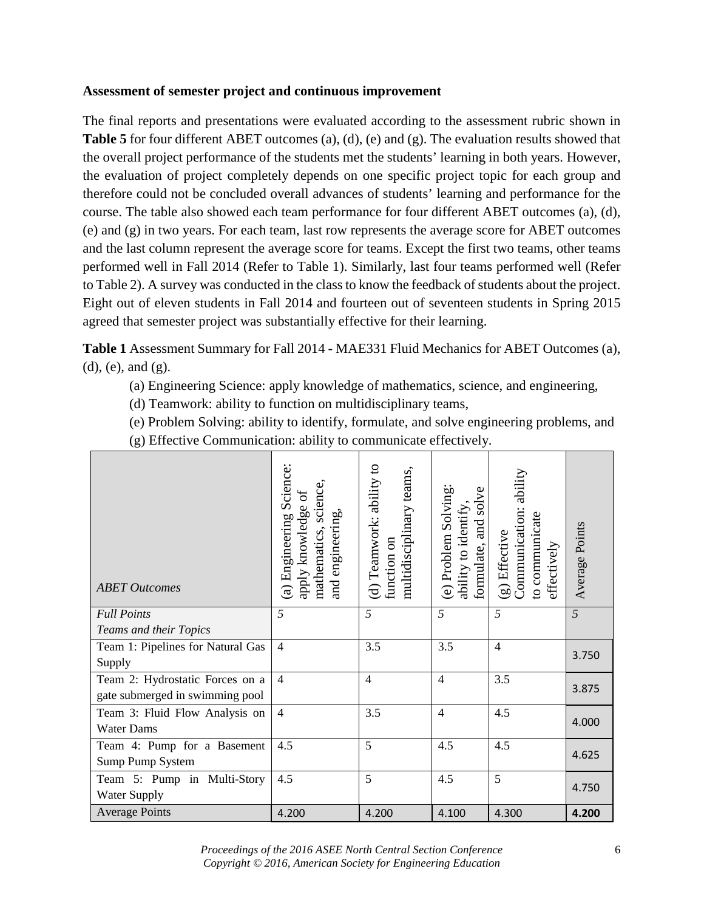### **Assessment of semester project and continuous improvement**

The final reports and presentations were evaluated according to the assessment rubric shown in **Table 5** for four different ABET outcomes (a), (d), (e) and (g). The evaluation results showed that the overall project performance of the students met the students' learning in both years. However, the evaluation of project completely depends on one specific project topic for each group and therefore could not be concluded overall advances of students' learning and performance for the course. The table also showed each team performance for four different ABET outcomes (a), (d), (e) and (g) in two years. For each team, last row represents the average score for ABET outcomes and the last column represent the average score for teams. Except the first two teams, other teams performed well in Fall 2014 (Refer to Table 1). Similarly, last four teams performed well (Refer to Table 2). A survey was conducted in the class to know the feedback of students about the project. Eight out of eleven students in Fall 2014 and fourteen out of seventeen students in Spring 2015 agreed that semester project was substantially effective for their learning.

**Table 1** Assessment Summary for Fall 2014 - MAE331 Fluid Mechanics for ABET Outcomes (a), (d), (e), and (g).

- (a) Engineering Science: apply knowledge of mathematics, science, and engineering,
- (d) Teamwork: ability to function on multidisciplinary teams,
- (e) Problem Solving: ability to identify, formulate, and solve engineering problems, and

|  | (g) Effective Communication: ability to communicate effectively. |  |  |
|--|------------------------------------------------------------------|--|--|

| <b>ABET Outcomes</b>              | (a) Engineering Science:<br>science,<br>ð<br>apply knowledge<br>and engineering,<br>mathematics, | (d) Teamwork: ability to<br>multidisciplinary teams,<br>function on | (e) Problem Solving:<br>solve<br>ability to identify,<br>formulate, and | Communication: ability<br>to communicate<br>(g) Effective<br>effectively | Average Points |
|-----------------------------------|--------------------------------------------------------------------------------------------------|---------------------------------------------------------------------|-------------------------------------------------------------------------|--------------------------------------------------------------------------|----------------|
| <b>Full Points</b>                | $\overline{5}$                                                                                   | 5                                                                   | $\overline{5}$                                                          | 5                                                                        | $\overline{5}$ |
| Teams and their Topics            |                                                                                                  |                                                                     |                                                                         |                                                                          |                |
| Team 1: Pipelines for Natural Gas | $\overline{4}$                                                                                   | 3.5                                                                 | 3.5                                                                     | $\overline{4}$                                                           | 3.750          |
| Supply                            |                                                                                                  |                                                                     |                                                                         |                                                                          |                |
| Team 2: Hydrostatic Forces on a   | $\overline{4}$                                                                                   | $\overline{4}$                                                      | $\overline{4}$                                                          | 3.5                                                                      | 3.875          |
| gate submerged in swimming pool   |                                                                                                  |                                                                     |                                                                         |                                                                          |                |
| Team 3: Fluid Flow Analysis on    | $\overline{4}$                                                                                   | 3.5                                                                 | $\overline{4}$                                                          | 4.5                                                                      | 4.000          |
| <b>Water Dams</b>                 |                                                                                                  |                                                                     |                                                                         |                                                                          |                |
| Team 4: Pump for a Basement       | 4.5                                                                                              | 5                                                                   | 4.5                                                                     | 4.5                                                                      | 4.625          |
| Sump Pump System                  |                                                                                                  |                                                                     |                                                                         |                                                                          |                |
| Team 5: Pump in Multi-Story       | 4.5                                                                                              | 5                                                                   | 4.5                                                                     | 5                                                                        |                |
| Water Supply                      |                                                                                                  |                                                                     |                                                                         |                                                                          | 4.750          |
| <b>Average Points</b>             | 4.200                                                                                            | 4.200                                                               | 4.100                                                                   | 4.300                                                                    | 4.200          |

*Proceedings of the 2016 ASEE North Central Section Conference* 6 *Copyright © 2016, American Society for Engineering Education*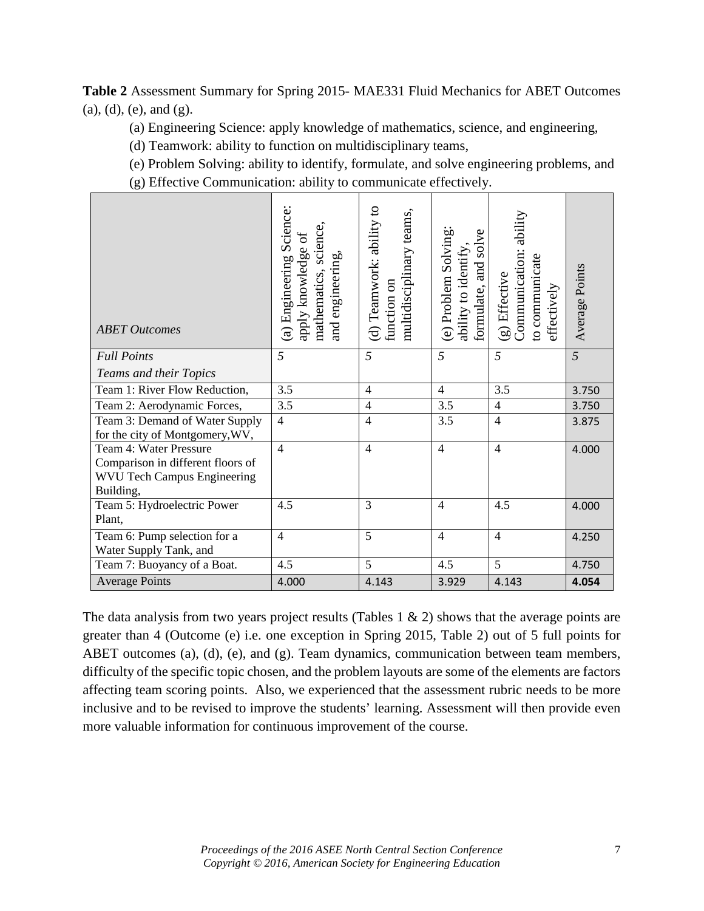**Table 2** Assessment Summary for Spring 2015- MAE331 Fluid Mechanics for ABET Outcomes (a), (d), (e), and (g).

(a) Engineering Science: apply knowledge of mathematics, science, and engineering,

(d) Teamwork: ability to function on multidisciplinary teams,

(e) Problem Solving: ability to identify, formulate, and solve engineering problems, and

(g) Effective Communication: ability to communicate effectively.

| <b>ABET Outcomes</b>                                                                                           | (a) Engineering Science:<br>mathematics, science,<br>5°<br>apply knowledge<br>and engineering, | (d) Teamwork: ability to<br>multidisciplinary teams,<br>function on | (e) Problem Solving:<br>formulate, and solve<br>ability to identify, | Communication: ability<br>to communicate<br>(g) Effective<br>effectively | Average Points |
|----------------------------------------------------------------------------------------------------------------|------------------------------------------------------------------------------------------------|---------------------------------------------------------------------|----------------------------------------------------------------------|--------------------------------------------------------------------------|----------------|
| <b>Full Points</b>                                                                                             | 5                                                                                              | 5                                                                   | 5                                                                    | 5                                                                        | 5              |
| Teams and their Topics                                                                                         |                                                                                                |                                                                     |                                                                      |                                                                          |                |
| Team 1: River Flow Reduction,                                                                                  | 3.5                                                                                            | $\overline{4}$                                                      | $\overline{4}$                                                       | 3.5                                                                      | 3.750          |
| Team 2: Aerodynamic Forces,                                                                                    | $\overline{3.5}$                                                                               | $\overline{4}$                                                      | 3.5                                                                  | $\overline{4}$                                                           | 3.750          |
| Team 3: Demand of Water Supply<br>for the city of Montgomery, WV,                                              | $\overline{4}$                                                                                 | $\overline{4}$                                                      | 3.5                                                                  | $\overline{4}$                                                           | 3.875          |
| Team 4: Water Pressure<br>Comparison in different floors of<br><b>WVU Tech Campus Engineering</b><br>Building, | $\overline{4}$                                                                                 | $\overline{4}$                                                      | $\overline{4}$                                                       | $\overline{4}$                                                           | 4.000          |
| Team 5: Hydroelectric Power<br>Plant,                                                                          | 4.5                                                                                            | 3                                                                   | $\overline{4}$                                                       | 4.5                                                                      | 4.000          |
| Team 6: Pump selection for a<br>Water Supply Tank, and                                                         | $\overline{4}$                                                                                 | 5                                                                   | $\overline{4}$                                                       | $\overline{4}$                                                           | 4.250          |
| Team 7: Buoyancy of a Boat.                                                                                    | 4.5                                                                                            | 5                                                                   | 4.5                                                                  | 5                                                                        | 4.750          |
| <b>Average Points</b>                                                                                          | 4.000                                                                                          | 4.143                                                               | 3.929                                                                | 4.143                                                                    | 4.054          |

The data analysis from two years project results (Tables  $1 \& 2$ ) shows that the average points are greater than 4 (Outcome (e) i.e. one exception in Spring 2015, Table 2) out of 5 full points for ABET outcomes (a), (d), (e), and (g). Team dynamics, communication between team members, difficulty of the specific topic chosen, and the problem layouts are some of the elements are factors affecting team scoring points. Also, we experienced that the assessment rubric needs to be more inclusive and to be revised to improve the students' learning. Assessment will then provide even more valuable information for continuous improvement of the course.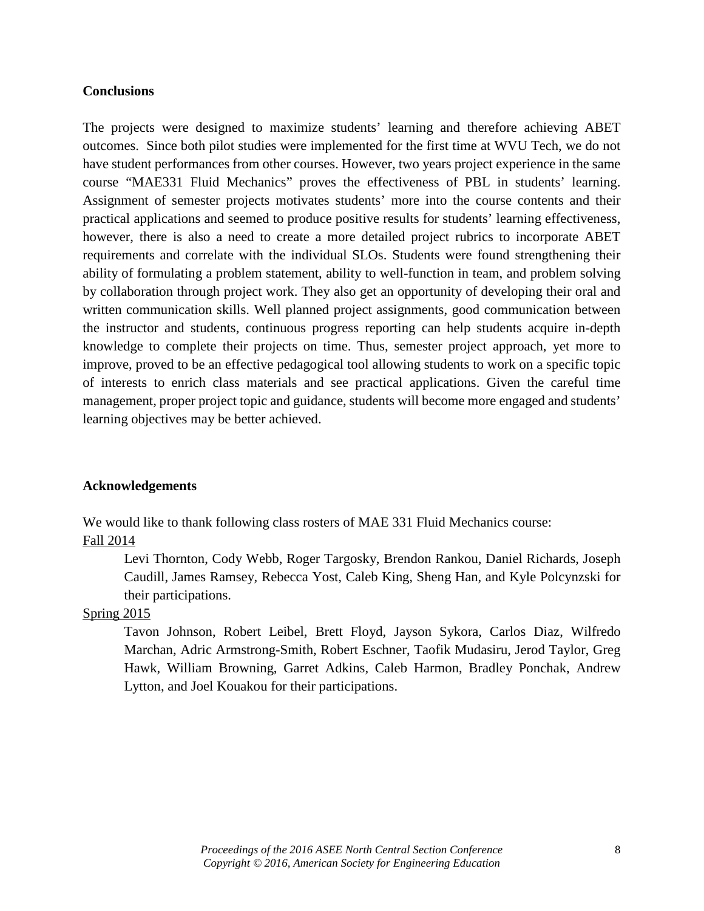#### **Conclusions**

The projects were designed to maximize students' learning and therefore achieving ABET outcomes. Since both pilot studies were implemented for the first time at WVU Tech, we do not have student performances from other courses. However, two years project experience in the same course "MAE331 Fluid Mechanics" proves the effectiveness of PBL in students' learning. Assignment of semester projects motivates students' more into the course contents and their practical applications and seemed to produce positive results for students' learning effectiveness, however, there is also a need to create a more detailed project rubrics to incorporate ABET requirements and correlate with the individual SLOs. Students were found strengthening their ability of formulating a problem statement, ability to well-function in team, and problem solving by collaboration through project work. They also get an opportunity of developing their oral and written communication skills. Well planned project assignments, good communication between the instructor and students, continuous progress reporting can help students acquire in-depth knowledge to complete their projects on time. Thus, semester project approach, yet more to improve, proved to be an effective pedagogical tool allowing students to work on a specific topic of interests to enrich class materials and see practical applications. Given the careful time management, proper project topic and guidance, students will become more engaged and students' learning objectives may be better achieved.

#### **Acknowledgements**

We would like to thank following class rosters of MAE 331 Fluid Mechanics course:

#### Fall 2014

Levi Thornton, Cody Webb, Roger Targosky, Brendon Rankou, Daniel Richards, Joseph Caudill, James Ramsey, Rebecca Yost, Caleb King, Sheng Han, and Kyle Polcynzski for their participations.

#### Spring 2015

Tavon Johnson, Robert Leibel, Brett Floyd, Jayson Sykora, Carlos Diaz, Wilfredo Marchan, Adric Armstrong-Smith, Robert Eschner, Taofik Mudasiru, Jerod Taylor, Greg Hawk, William Browning, Garret Adkins, Caleb Harmon, Bradley Ponchak, Andrew Lytton, and Joel Kouakou for their participations.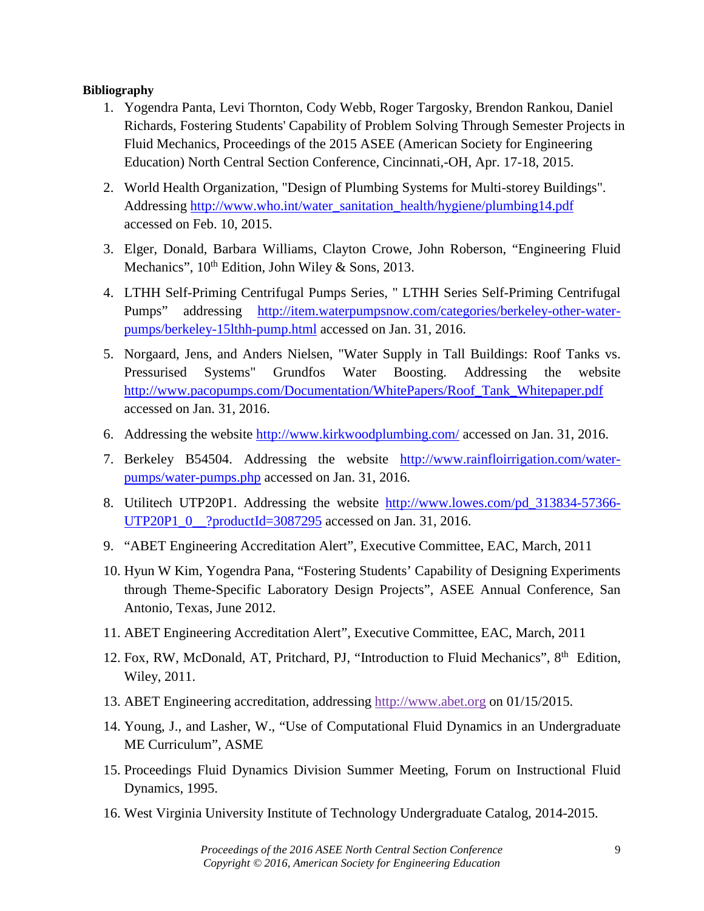### **Bibliography**

- 1. Yogendra Panta, Levi Thornton, Cody Webb, Roger Targosky, Brendon Rankou, Daniel Richards, Fostering Students' Capability of Problem Solving Through Semester Projects in Fluid Mechanics, Proceedings of the 2015 ASEE (American Society for Engineering Education) North Central Section Conference, Cincinnati,-OH, Apr. 17-18, 2015.
- 2. World Health Organization, "Design of Plumbing Systems for Multi-storey Buildings". Addressing [http://www.who.int/water\\_sanitation\\_health/hygiene/plumbing14.pdf](http://www.who.int/water_sanitation_health/hygiene/plumbing14.pdf) accessed on Feb. 10, 2015.
- 3. Elger, Donald, Barbara Williams, Clayton Crowe, John Roberson, "Engineering Fluid Mechanics",  $10^{th}$  Edition, John Wiley & Sons, 2013.
- 4. LTHH Self-Priming Centrifugal Pumps Series, " LTHH Series Self-Priming Centrifugal Pumps" addressing [http://item.waterpumpsnow.com/categories/berkeley-other-water](http://item.waterpumpsnow.com/categories/berkeley-other-water-pumps/berkeley-15lthh-pump.html)[pumps/berkeley-15lthh-pump.html](http://item.waterpumpsnow.com/categories/berkeley-other-water-pumps/berkeley-15lthh-pump.html) accessed on Jan. 31, 2016.
- 5. Norgaard, Jens, and Anders Nielsen, "Water Supply in Tall Buildings: Roof Tanks vs. Pressurised Systems" Grundfos Water Boosting. Addressing the website [http://www.pacopumps.com/Documentation/WhitePapers/Roof\\_Tank\\_Whitepaper.pdf](http://www.pacopumps.com/Documentation/WhitePapers/Roof_Tank_Whitepaper.pdf) accessed on Jan. 31, 2016.
- 6. Addressing the website<http://www.kirkwoodplumbing.com/> accessed on Jan. 31, 2016.
- 7. Berkeley B54504. Addressing the website [http://www.rainfloirrigation.com/water](http://www.rainfloirrigation.com/water-pumps/water-pumps.php)[pumps/water-pumps.php](http://www.rainfloirrigation.com/water-pumps/water-pumps.php) accessed on Jan. 31, 2016.
- 8. Utilitech UTP20P1. Addressing the website [http://www.lowes.com/pd\\_313834-57366-](http://www.lowes.com/pd_313834-57366-UTP20P1_0__?productId=3087295) [UTP20P1\\_0\\_\\_?productId=3087295](http://www.lowes.com/pd_313834-57366-UTP20P1_0__?productId=3087295) accessed on Jan. 31, 2016.
- 9. "ABET Engineering Accreditation Alert", Executive Committee, EAC, March, 2011
- 10. Hyun W Kim, Yogendra Pana, "Fostering Students' Capability of Designing Experiments through Theme-Specific Laboratory Design Projects", ASEE Annual Conference, San Antonio, Texas, June 2012.
- 11. ABET Engineering Accreditation Alert", Executive Committee, EAC, March, 2011
- 12. Fox, RW, McDonald, AT, Pritchard, PJ, "Introduction to Fluid Mechanics", 8<sup>th</sup> Edition, Wiley, 2011.
- 13. ABET Engineering accreditation, addressing http://www.abet.org on 01/15/2015.
- 14. Young, J., and Lasher, W., "Use of Computational Fluid Dynamics in an Undergraduate ME Curriculum", ASME
- 15. Proceedings Fluid Dynamics Division Summer Meeting, Forum on Instructional Fluid Dynamics, 1995.
- 16. West Virginia University Institute of Technology Undergraduate Catalog, 2014-2015.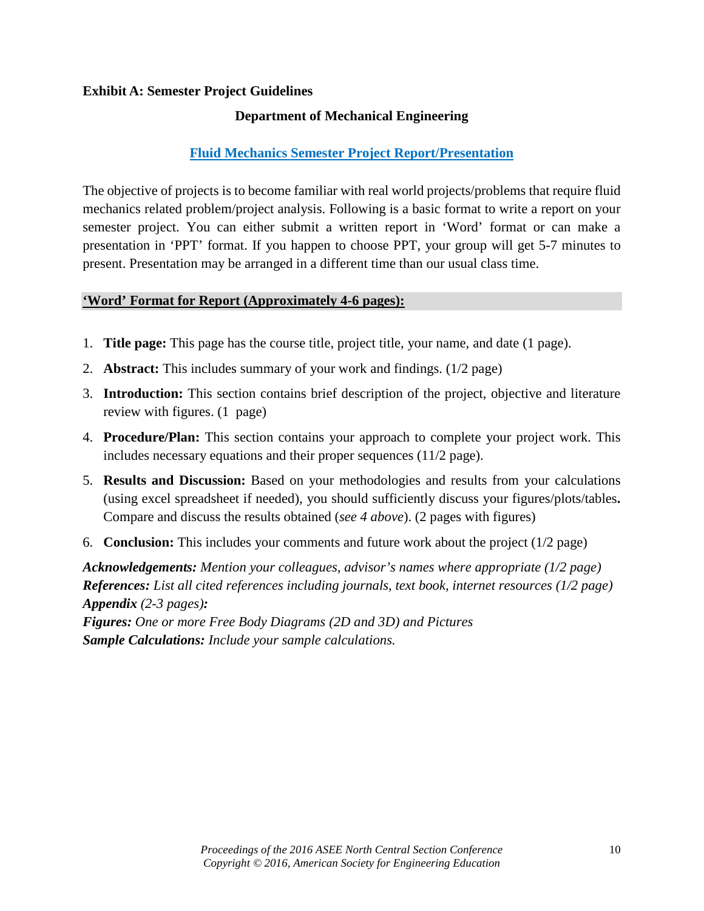### **Exhibit A: Semester Project Guidelines**

### **Department of Mechanical Engineering**

# **Fluid Mechanics Semester Project Report/Presentation**

The objective of projects is to become familiar with real world projects/problems that require fluid mechanics related problem/project analysis. Following is a basic format to write a report on your semester project. You can either submit a written report in 'Word' format or can make a presentation in 'PPT' format. If you happen to choose PPT, your group will get 5-7 minutes to present. Presentation may be arranged in a different time than our usual class time.

### **'Word' Format for Report (Approximately 4-6 pages):**

- 1. **Title page:** This page has the course title, project title, your name, and date (1 page).
- 2. **Abstract:** This includes summary of your work and findings. (1/2 page)
- 3. **Introduction:** This section contains brief description of the project, objective and literature review with figures. (1 page)
- 4. **Procedure/Plan:** This section contains your approach to complete your project work. This includes necessary equations and their proper sequences (11/2 page).
- 5. **Results and Discussion:** Based on your methodologies and results from your calculations (using excel spreadsheet if needed), you should sufficiently discuss your figures/plots/tables**.**  Compare and discuss the results obtained (*see 4 above*). (2 pages with figures)
- 6. **Conclusion:** This includes your comments and future work about the project (1/2 page)

*Acknowledgements: Mention your colleagues, advisor's names where appropriate (1/2 page) References: List all cited references including journals, text book, internet resources (1/2 page) Appendix (2-3 pages):*

*Figures: One or more Free Body Diagrams (2D and 3D) and Pictures Sample Calculations: Include your sample calculations.*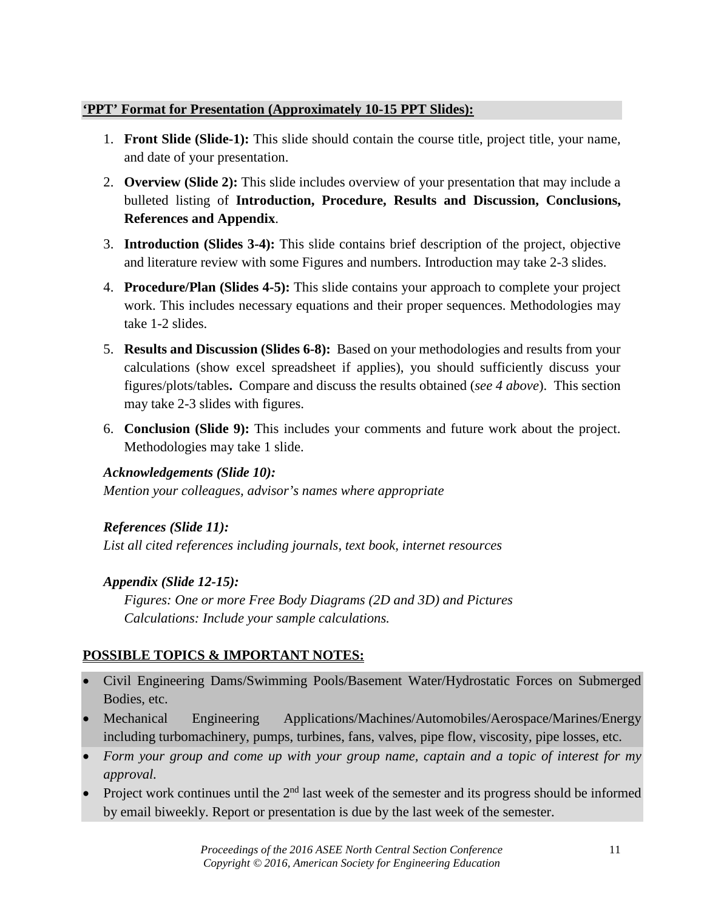## **'PPT' Format for Presentation (Approximately 10-15 PPT Slides):**

- 1. **Front Slide (Slide-1):** This slide should contain the course title, project title, your name, and date of your presentation.
- 2. **Overview (Slide 2):** This slide includes overview of your presentation that may include a bulleted listing of **Introduction, Procedure, Results and Discussion, Conclusions, References and Appendix**.
- 3. **Introduction (Slides 3-4):** This slide contains brief description of the project, objective and literature review with some Figures and numbers. Introduction may take 2-3 slides.
- 4. **Procedure/Plan (Slides 4-5):** This slide contains your approach to complete your project work. This includes necessary equations and their proper sequences. Methodologies may take 1-2 slides.
- 5. **Results and Discussion (Slides 6-8):** Based on your methodologies and results from your calculations (show excel spreadsheet if applies), you should sufficiently discuss your figures/plots/tables**.** Compare and discuss the results obtained (*see 4 above*). This section may take 2-3 slides with figures.
- 6. **Conclusion (Slide 9):** This includes your comments and future work about the project. Methodologies may take 1 slide.

# *Acknowledgements (Slide 10):*

*Mention your colleagues, advisor's names where appropriate*

*References (Slide 11):*

*List all cited references including journals, text book, internet resources* 

# *Appendix (Slide 12-15):*

*Figures: One or more Free Body Diagrams (2D and 3D) and Pictures Calculations: Include your sample calculations.* 

# **POSSIBLE TOPICS & IMPORTANT NOTES:**

- Civil Engineering Dams/Swimming Pools/Basement Water/Hydrostatic Forces on Submerged Bodies, etc.
- Mechanical Engineering Applications/Machines/Automobiles/Aerospace/Marines/Energy including turbomachinery, pumps, turbines, fans, valves, pipe flow, viscosity, pipe losses, etc.
- *Form your group and come up with your group name, captain and a topic of interest for my approval.*
- Project work continues until the  $2<sup>nd</sup>$  last week of the semester and its progress should be informed by email biweekly. Report or presentation is due by the last week of the semester.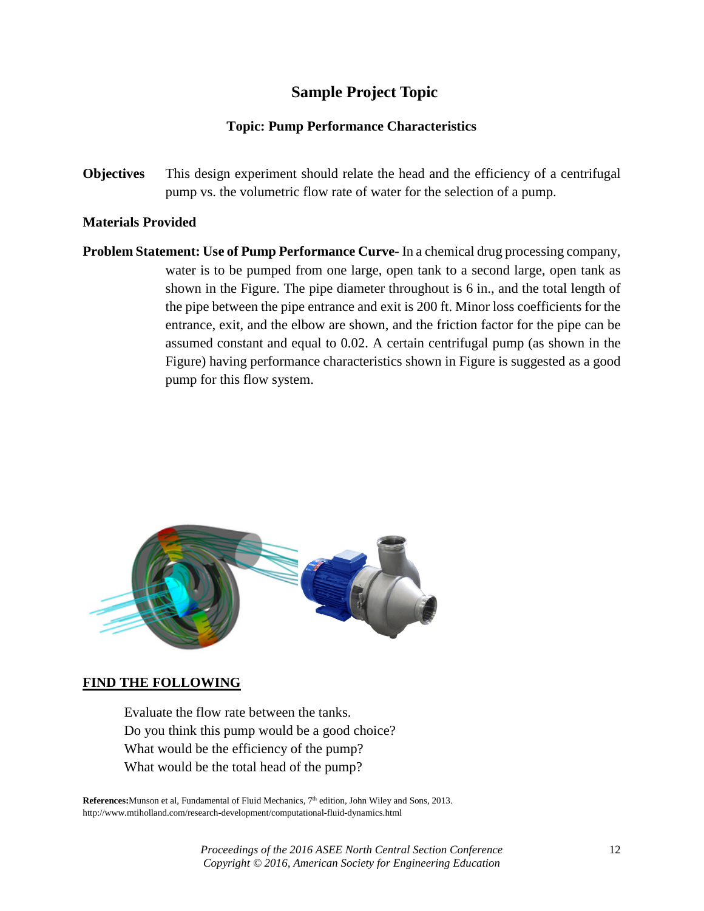# **Sample Project Topic**

### **Topic: Pump Performance Characteristics**

**Objectives** This design experiment should relate the head and the efficiency of a centrifugal pump vs. the volumetric flow rate of water for the selection of a pump.

### **Materials Provided**

**Problem Statement: Use of Pump Performance Curve-** In a chemical drug processing company, water is to be pumped from one large, open tank to a second large, open tank as shown in the Figure. The pipe diameter throughout is 6 in., and the total length of the pipe between the pipe entrance and exit is 200 ft. Minor loss coefficients for the entrance, exit, and the elbow are shown, and the friction factor for the pipe can be assumed constant and equal to 0.02. A certain centrifugal pump (as shown in the Figure) having performance characteristics shown in Figure is suggested as a good pump for this flow system.



### **FIND THE FOLLOWING**

Evaluate the flow rate between the tanks. Do you think this pump would be a good choice? What would be the efficiency of the pump? What would be the total head of the pump?

**References:**Munson et al, Fundamental of Fluid Mechanics, 7<sup>th</sup> edition, John Wiley and Sons, 2013. http://www.mtiholland.com/research-development/computational-fluid-dynamics.html

> *Proceedings of the 2016 ASEE North Central Section Conference* 12 *Copyright © 2016, American Society for Engineering Education*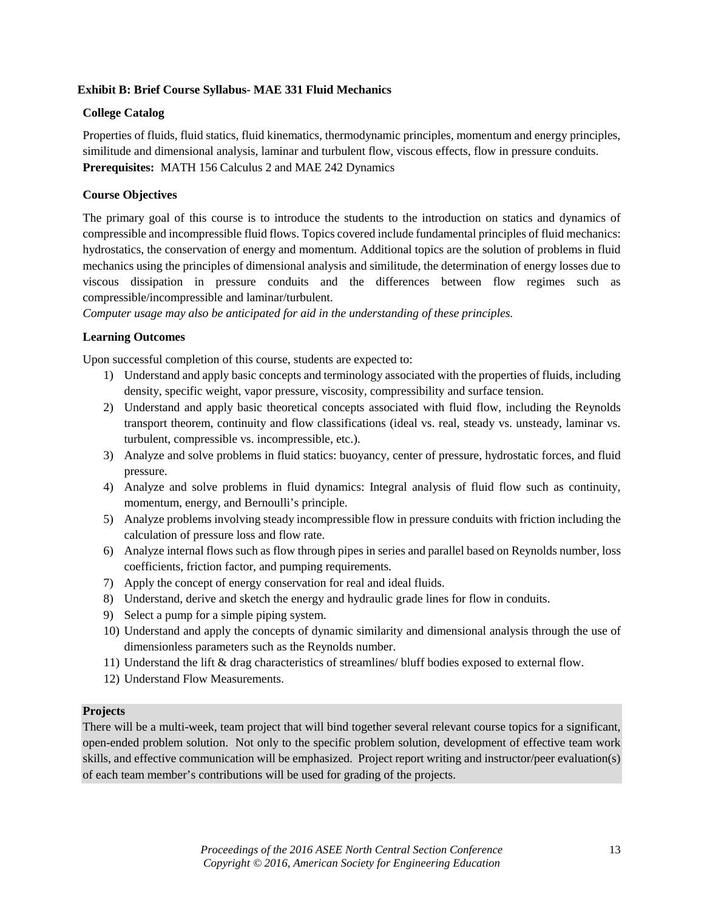#### **Exhibit B: Brief Course Syllabus- MAE 331 Fluid Mechanics**

#### **College Catalog**

Properties of fluids, fluid statics, fluid kinematics, thermodynamic principles, momentum and energy principles, similitude and dimensional analysis, laminar and turbulent flow, viscous effects, flow in pressure conduits. **Prerequisites:** MATH 156 Calculus 2 and MAE 242 Dynamics

#### **Course Objectives**

The primary goal of this course is to introduce the students to the introduction on statics and dynamics of compressible and incompressible fluid flows. Topics covered include fundamental principles of fluid mechanics: hydrostatics, the conservation of energy and momentum. Additional topics are the solution of problems in fluid mechanics using the principles of dimensional analysis and similitude, the determination of energy losses due to viscous dissipation in pressure conduits and the differences between flow regimes such as compressible/incompressible and laminar/turbulent.

*Computer usage may also be anticipated for aid in the understanding of these principles.*

#### **Learning Outcomes**

Upon successful completion of this course, students are expected to:

- 1) Understand and apply basic concepts and terminology associated with the properties of fluids, including density, specific weight, vapor pressure, viscosity, compressibility and surface tension.
- 2) Understand and apply basic theoretical concepts associated with fluid flow, including the Reynolds transport theorem, continuity and flow classifications (ideal vs. real, steady vs. unsteady, laminar vs. turbulent, compressible vs. incompressible, etc.).
- 3) Analyze and solve problems in fluid statics: buoyancy, center of pressure, hydrostatic forces, and fluid pressure.
- 4) Analyze and solve problems in fluid dynamics: Integral analysis of fluid flow such as continuity, momentum, energy, and Bernoulli's principle.
- 5) Analyze problems involving steady incompressible flow in pressure conduits with friction including the calculation of pressure loss and flow rate.
- 6) Analyze internal flows such as flow through pipes in series and parallel based on Reynolds number, loss coefficients, friction factor, and pumping requirements.
- 7) Apply the concept of energy conservation for real and ideal fluids.
- 8) Understand, derive and sketch the energy and hydraulic grade lines for flow in conduits.
- 9) Select a pump for a simple piping system.
- 10) Understand and apply the concepts of dynamic similarity and dimensional analysis through the use of dimensionless parameters such as the Reynolds number.
- 11) Understand the lift & drag characteristics of streamlines/ bluff bodies exposed to external flow.
- 12) Understand Flow Measurements.

#### **Projects**

There will be a multi-week, team project that will bind together several relevant course topics for a significant, open-ended problem solution. Not only to the specific problem solution, development of effective team work skills, and effective communication will be emphasized. Project report writing and instructor/peer evaluation(s) of each team member's contributions will be used for grading of the projects.